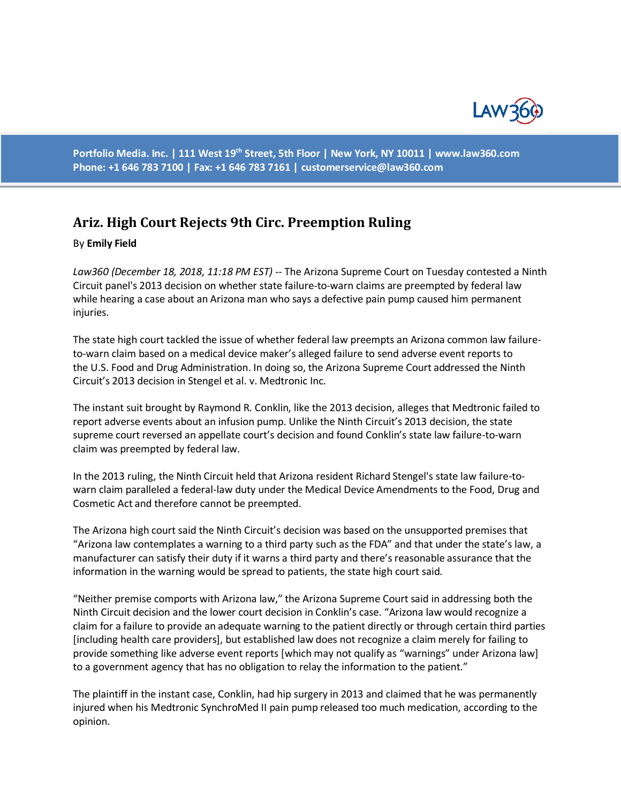

**Portfolio Media. Inc. | 111 West 19th Street, 5th Floor | New York, NY 10011 | www.law360.com Phone: +1 646 783 7100 | Fax: +1 646 783 7161 | [customerservice@law360.com](mailto:customerservice@law360.com)**

## **Ariz. High Court Rejects 9th Circ. Preemption Ruling**

## By **Emily Field**

*Law360 (December 18, 2018, 11:18 PM EST) --* The Arizona Supreme Court on Tuesday contested a Ninth Circuit panel's 2013 decision on whether state failure-to-warn claims are preempted by federal law while hearing a case about an Arizona man who says a defective pain pump caused him permanent injuries.

The state high court tackled the issue of whether federal law preempts an Arizona common law failureto-warn claim based on a medical device maker's alleged failure to send adverse event reports to the U.S. Food and Drug Administration. In doing so, the Arizona Supreme Court addressed the Ninth Circuit's 2013 decision in Stengel et al. v. Medtronic Inc.

The instant suit brought by Raymond R. Conklin, like the 2013 decision, alleges that Medtronic failed to report adverse events about an infusion pump. Unlike the Ninth Circuit's 2013 decision, the state supreme court reversed an appellate court's decision and found Conklin's state law failure-to-warn claim was preempted by federal law.

In the 2013 ruling, the Ninth Circuit held that Arizona resident Richard Stengel's state law failure-towarn claim paralleled a federal-law duty under the Medical Device Amendments to the Food, Drug and Cosmetic Act and therefore cannot be preempted.

The Arizona high court said the Ninth Circuit's decision was based on the unsupported premises that "Arizona law contemplates a warning to a third party such as the FDA" and that under the state's law, a manufacturer can satisfy their duty if it warns a third party and there's reasonable assurance that the information in the warning would be spread to patients, the state high court said.

"Neither premise comports with Arizona law," the Arizona Supreme Court said in addressing both the Ninth Circuit decision and the lower court decision in Conklin's case. "Arizona law would recognize a claim for a failure to provide an adequate warning to the patient directly or through certain third parties [including health care providers], but established law does not recognize a claim merely for failing to provide something like adverse event reports [which may not qualify as "warnings" under Arizona law] to a government agency that has no obligation to relay the information to the patient."

The plaintiff in the instant case, Conklin, had hip surgery in 2013 and claimed that he was permanently injured when his Medtronic SynchroMed II pain pump released too much medication, according to the opinion.